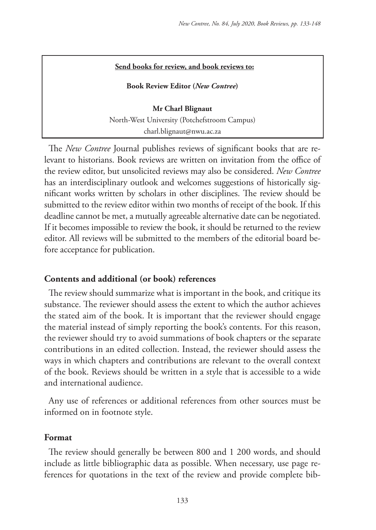#### **Send books for review, and book reviews to:**

**Book Review Editor (***New Contree***)** 

**Mr Charl Blignaut** North-West University (Potchefstroom Campus) charl.blignaut@nwu.ac.za

The *New Contree* Journal publishes reviews of significant books that are relevant to historians. Book reviews are written on invitation from the office of the review editor, but unsolicited reviews may also be considered. *New Contree*  has an interdisciplinary outlook and welcomes suggestions of historically significant works written by scholars in other disciplines. The review should be submitted to the review editor within two months of receipt of the book. If this deadline cannot be met, a mutually agreeable alternative date can be negotiated. If it becomes impossible to review the book, it should be returned to the review editor. All reviews will be submitted to the members of the editorial board before acceptance for publication.

#### **Contents and additional (or book) references**

The review should summarize what is important in the book, and critique its substance. The reviewer should assess the extent to which the author achieves the stated aim of the book. It is important that the reviewer should engage the material instead of simply reporting the book's contents. For this reason, the reviewer should try to avoid summations of book chapters or the separate contributions in an edited collection. Instead, the reviewer should assess the ways in which chapters and contributions are relevant to the overall context of the book. Reviews should be written in a style that is accessible to a wide and international audience.

Any use of references or additional references from other sources must be informed on in footnote style.

#### **Format**

The review should generally be between 800 and 1 200 words, and should include as little bibliographic data as possible. When necessary, use page references for quotations in the text of the review and provide complete bib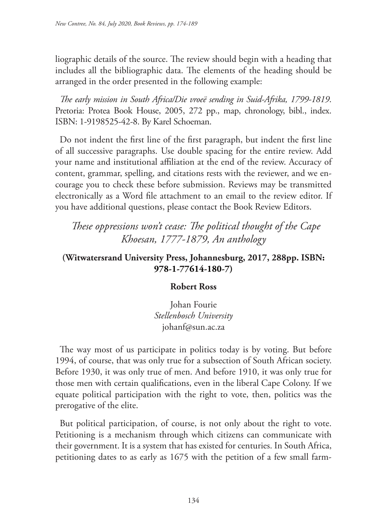liographic details of the source. The review should begin with a heading that includes all the bibliographic data. The elements of the heading should be arranged in the order presented in the following example:

*The early mission in South Africa/Die vroeë sending in Suid-Afrika, 1799-1819*. Pretoria: Protea Book House, 2005, 272 pp., map, chronology, bibl., index. ISBN: 1-9198525-42-8. By Karel Schoeman.

Do not indent the first line of the first paragraph, but indent the first line of all successive paragraphs. Use double spacing for the entire review. Add your name and institutional affiliation at the end of the review. Accuracy of content, grammar, spelling, and citations rests with the reviewer, and we encourage you to check these before submission. Reviews may be transmitted electronically as a Word file attachment to an email to the review editor. If you have additional questions, please contact the Book Review Editors.

*These oppressions won't cease: The political thought of the Cape Khoesan, 1777-1879, An anthology*

## **(Witwatersrand University Press, Johannesburg, 2017, 288pp. ISBN: 978-1-77614-180-7)**

#### **Robert Ross**

Johan Fourie *Stellenbosch University* johanf@sun.ac.za

The way most of us participate in politics today is by voting. But before 1994, of course, that was only true for a subsection of South African society. Before 1930, it was only true of men. And before 1910, it was only true for those men with certain qualifications, even in the liberal Cape Colony. If we equate political participation with the right to vote, then, politics was the prerogative of the elite.

But political participation, of course, is not only about the right to vote. Petitioning is a mechanism through which citizens can communicate with their government. It is a system that has existed for centuries. In South Africa, petitioning dates to as early as 1675 with the petition of a few small farm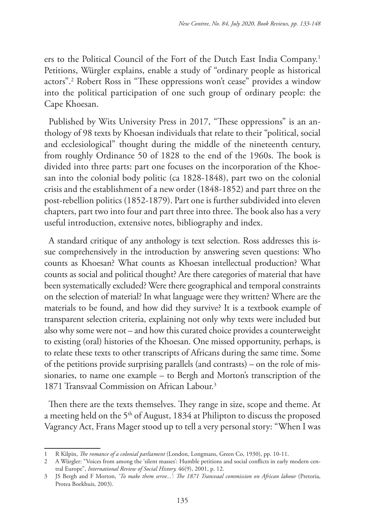ers to the Political Council of the Fort of the Dutch East India Company.1 Petitions, Würgler explains, enable a study of "ordinary people as historical actors".2 Robert Ross in "These oppressions won't cease" provides a window into the political participation of one such group of ordinary people: the Cape Khoesan.

Published by Wits University Press in 2017, "These oppressions" is an anthology of 98 texts by Khoesan individuals that relate to their "political, social and ecclesiological" thought during the middle of the nineteenth century, from roughly Ordinance 50 of 1828 to the end of the 1960s. The book is divided into three parts: part one focuses on the incorporation of the Khoesan into the colonial body politic (ca 1828-1848), part two on the colonial crisis and the establishment of a new order (1848-1852) and part three on the post-rebellion politics (1852-1879). Part one is further subdivided into eleven chapters, part two into four and part three into three. The book also has a very useful introduction, extensive notes, bibliography and index.

A standard critique of any anthology is text selection. Ross addresses this issue comprehensively in the introduction by answering seven questions: Who counts as Khoesan? What counts as Khoesan intellectual production? What counts as social and political thought? Are there categories of material that have been systematically excluded? Were there geographical and temporal constraints on the selection of material? In what language were they written? Where are the materials to be found, and how did they survive? It is a textbook example of transparent selection criteria, explaining not only why texts were included but also why some were not – and how this curated choice provides a counterweight to existing (oral) histories of the Khoesan. One missed opportunity, perhaps, is to relate these texts to other transcripts of Africans during the same time. Some of the petitions provide surprising parallels (and contrasts) – on the role of missionaries, to name one example – to Bergh and Morton's transcription of the 1871 Transvaal Commission on African Labour.3

Then there are the texts themselves. They range in size, scope and theme. At a meeting held on the 5<sup>th</sup> of August, 1834 at Philipton to discuss the proposed Vagrancy Act, Frans Mager stood up to tell a very personal story: "When I was

<sup>1</sup> R Kilpin, *The romance of a colonial parliament* (London, Longmans, Green Co, 1930), pp. 10-11.

<sup>2</sup> A Würgler: "Voices from among the 'silent masses': Humble petitions and social conflicts in early modern central Europe", *International Review of Social History,* 46(9), 2001, p. 12.

<sup>3</sup> JS Bergh and F Morton, *'To make them serve...': The 1871 Transvaal commission on African labour* (Pretoria, Protea Boekhuis, 2003).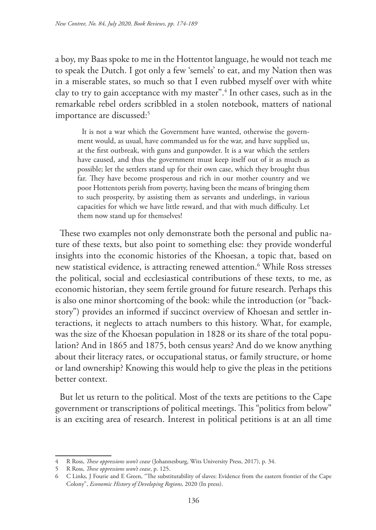a boy, my Baas spoke to me in the Hottentot language, he would not teach me to speak the Dutch. I got only a few 'semels' to eat, and my Nation then was in a miserable states, so much so that I even rubbed myself over with white clay to try to gain acceptance with my master".4 In other cases, such as in the remarkable rebel orders scribbled in a stolen notebook, matters of national importance are discussed:<sup>5</sup>

It is not a war which the Government have wanted, otherwise the government would, as usual, have commanded us for the war, and have supplied us, at the first outbreak, with guns and gunpowder. It is a war which the settlers have caused, and thus the government must keep itself out of it as much as possible; let the settlers stand up for their own case, which they brought thus far. They have become prosperous and rich in our mother country and we poor Hottentots perish from poverty, having been the means of bringing them to such prosperity, by assisting them as servants and underlings, in various capacities for which we have little reward, and that with much difficulty. Let them now stand up for themselves!

These two examples not only demonstrate both the personal and public nature of these texts, but also point to something else: they provide wonderful insights into the economic histories of the Khoesan, a topic that, based on new statistical evidence, is attracting renewed attention.6 While Ross stresses the political, social and ecclesiastical contributions of these texts, to me, as economic historian, they seem fertile ground for future research. Perhaps this is also one minor shortcoming of the book: while the introduction (or "backstory") provides an informed if succinct overview of Khoesan and settler interactions, it neglects to attach numbers to this history. What, for example, was the size of the Khoesan population in 1828 or its share of the total population? And in 1865 and 1875, both census years? And do we know anything about their literacy rates, or occupational status, or family structure, or home or land ownership? Knowing this would help to give the pleas in the petitions better context.

But let us return to the political. Most of the texts are petitions to the Cape government or transcriptions of political meetings. This "politics from below" is an exciting area of research. Interest in political petitions is at an all time

<sup>4</sup> R Ross, *These oppressions won't cease* (Johannesburg, Wits University Press, 2017), p. 34.

<sup>5</sup> R Ross, *These oppressions won't cease*, p. 125.

<sup>6</sup> C Links, J Fourie and E Green, "The substitutability of slaves: Evidence from the eastern frontier of the Cape Colony", *Economic History of Developing Regions,* 2020 (In press).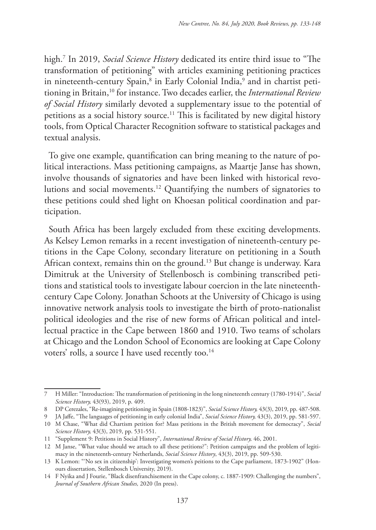high.7 In 2019, *Social Science History* dedicated its entire third issue to "The transformation of petitioning" with articles examining petitioning practices in nineteenth-century Spain, $^8$  in Early Colonial India, $^9$  and in chartist petitioning in Britain,10 for instance. Two decades earlier, the *International Review of Social History* similarly devoted a supplementary issue to the potential of petitions as a social history source.<sup>11</sup> This is facilitated by new digital history tools, from Optical Character Recognition software to statistical packages and textual analysis.

To give one example, quantification can bring meaning to the nature of political interactions. Mass petitioning campaigns, as Maartje Janse has shown, involve thousands of signatories and have been linked with historical revolutions and social movements.12 Quantifying the numbers of signatories to these petitions could shed light on Khoesan political coordination and participation.

South Africa has been largely excluded from these exciting developments. As Kelsey Lemon remarks in a recent investigation of nineteenth-century petitions in the Cape Colony, secondary literature on petitioning in a South African context, remains thin on the ground.<sup>13</sup> But change is underway. Kara Dimitruk at the University of Stellenbosch is combining transcribed petitions and statistical tools to investigate labour coercion in the late nineteenthcentury Cape Colony. Jonathan Schoots at the University of Chicago is using innovative network analysis tools to investigate the birth of proto-nationalist political ideologies and the rise of new forms of African political and intellectual practice in the Cape between 1860 and 1910. Two teams of scholars at Chicago and the London School of Economics are looking at Cape Colony voters' rolls, a source I have used recently too.<sup>14</sup>

<sup>7</sup> H Miller: "Introduction: The transformation of petitioning in the long nineteenth century (1780-1914)", *Social Science History,* 43(93), 2019, p. 409.

<sup>8</sup> DP Cerezales, "Re-imagining petitioning in Spain (1808-1823)", *Social Science History,* 43(3), 2019, pp. 487-508.

<sup>9</sup> JA Jaffe, "The languages of petitioning in early colonial India", *Social Science History,* 43(3), 2019, pp. 581-597.

<sup>10</sup> M Chase, "What did Chartism petition for? Mass petitions in the British movement for democracy", *Social Science History,* 43(3), 2019, pp. 531-551.

<sup>11</sup> "Supplement 9: Petitions in Social History", *International Review of Social History,* 46, 2001.

<sup>12</sup> M Janse, "What value should we attach to all these petitions?": Petition campaigns and the problem of legitimacy in the nineteenth-century Netherlands, *Social Science History*, 43(3), 2019, pp. 509-530.

<sup>13</sup> K Lemon: "'No sex in citizenship': Investigating women's peitions to the Cape parliament, 1873-1902" (Honours dissertation, Stellenbosch University, 2019).

<sup>14</sup> F Nyika and J Fourie, "Black disenfranchisement in the Cape colony, c. 1887-1909: Challenging the numbers", *Journal of Southern African Studies,* 2020 (In press).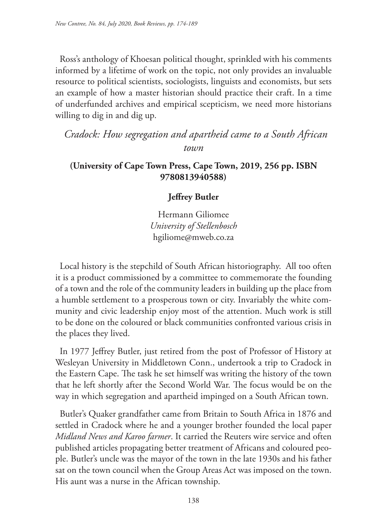Ross's anthology of Khoesan political thought, sprinkled with his comments informed by a lifetime of work on the topic, not only provides an invaluable resource to political scientists, sociologists, linguists and economists, but sets an example of how a master historian should practice their craft. In a time of underfunded archives and empirical scepticism, we need more historians willing to dig in and dig up.

*Cradock: How segregation and apartheid came to a South African town*

### **(University of Cape Town Press, Cape Town, 2019, 256 pp. ISBN 9780813940588)**

## **Jeffrey Butler**

Hermann Giliomee *University of Stellenbosch* hgiliome@mweb.co.za

Local history is the stepchild of South African historiography. All too often it is a product commissioned by a committee to commemorate the founding of a town and the role of the community leaders in building up the place from a humble settlement to a prosperous town or city. Invariably the white community and civic leadership enjoy most of the attention. Much work is still to be done on the coloured or black communities confronted various crisis in the places they lived.

In 1977 Jeffrey Butler, just retired from the post of Professor of History at Wesleyan University in Middletown Conn., undertook a trip to Cradock in the Eastern Cape. The task he set himself was writing the history of the town that he left shortly after the Second World War. The focus would be on the way in which segregation and apartheid impinged on a South African town.

Butler's Quaker grandfather came from Britain to South Africa in 1876 and settled in Cradock where he and a younger brother founded the local paper *Midland News and Karoo farmer*. It carried the Reuters wire service and often published articles propagating better treatment of Africans and coloured people. Butler's uncle was the mayor of the town in the late 1930s and his father sat on the town council when the Group Areas Act was imposed on the town. His aunt was a nurse in the African township.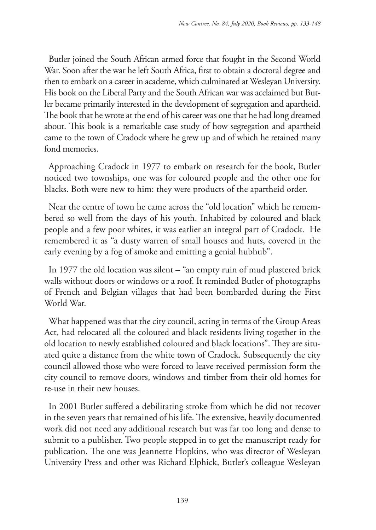Butler joined the South African armed force that fought in the Second World War. Soon after the war he left South Africa, first to obtain a doctoral degree and then to embark on a career in academe, which culminated at Wesleyan University. His book on the Liberal Party and the South African war was acclaimed but Butler became primarily interested in the development of segregation and apartheid. The book that he wrote at the end of his career was one that he had long dreamed about. This book is a remarkable case study of how segregation and apartheid came to the town of Cradock where he grew up and of which he retained many fond memories.

Approaching Cradock in 1977 to embark on research for the book, Butler noticed two townships, one was for coloured people and the other one for blacks. Both were new to him: they were products of the apartheid order.

Near the centre of town he came across the "old location" which he remembered so well from the days of his youth. Inhabited by coloured and black people and a few poor whites, it was earlier an integral part of Cradock. He remembered it as "a dusty warren of small houses and huts, covered in the early evening by a fog of smoke and emitting a genial hubhub".

In 1977 the old location was silent – "an empty ruin of mud plastered brick walls without doors or windows or a roof. It reminded Butler of photographs of French and Belgian villages that had been bombarded during the First World War.

What happened was that the city council, acting in terms of the Group Areas Act, had relocated all the coloured and black residents living together in the old location to newly established coloured and black locations". They are situated quite a distance from the white town of Cradock. Subsequently the city council allowed those who were forced to leave received permission form the city council to remove doors, windows and timber from their old homes for re-use in their new houses.

In 2001 Butler suffered a debilitating stroke from which he did not recover in the seven years that remained of his life. The extensive, heavily documented work did not need any additional research but was far too long and dense to submit to a publisher. Two people stepped in to get the manuscript ready for publication. The one was Jeannette Hopkins, who was director of Wesleyan University Press and other was Richard Elphick, Butler's colleague Wesleyan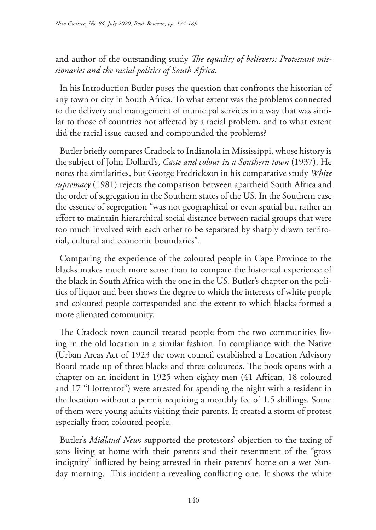and author of the outstanding study *The equality of believers: Protestant missionaries and the racial politics of South Africa.*

In his Introduction Butler poses the question that confronts the historian of any town or city in South Africa. To what extent was the problems connected to the delivery and management of municipal services in a way that was similar to those of countries not affected by a racial problem, and to what extent did the racial issue caused and compounded the problems?

Butler briefly compares Cradock to Indianola in Mississippi, whose history is the subject of John Dollard's, *Caste and colour in a Southern town* (1937). He notes the similarities, but George Fredrickson in his comparative study *White supremacy* (1981) rejects the comparison between apartheid South Africa and the order of segregation in the Southern states of the US. In the Southern case the essence of segregation "was not geographical or even spatial but rather an effort to maintain hierarchical social distance between racial groups that were too much involved with each other to be separated by sharply drawn territorial, cultural and economic boundaries".

Comparing the experience of the coloured people in Cape Province to the blacks makes much more sense than to compare the historical experience of the black in South Africa with the one in the US. Butler's chapter on the politics of liquor and beer shows the degree to which the interests of white people and coloured people corresponded and the extent to which blacks formed a more alienated community.

The Cradock town council treated people from the two communities living in the old location in a similar fashion. In compliance with the Native (Urban Areas Act of 1923 the town council established a Location Advisory Board made up of three blacks and three coloureds. The book opens with a chapter on an incident in 1925 when eighty men (41 African, 18 coloured and 17 "Hottentot") were arrested for spending the night with a resident in the location without a permit requiring a monthly fee of 1.5 shillings. Some of them were young adults visiting their parents. It created a storm of protest especially from coloured people.

Butler's *Midland News* supported the protestors' objection to the taxing of sons living at home with their parents and their resentment of the "gross indignity" inflicted by being arrested in their parents' home on a wet Sunday morning. This incident a revealing conflicting one. It shows the white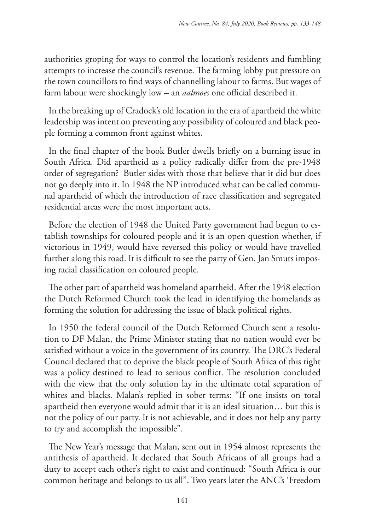authorities groping for ways to control the location's residents and fumbling attempts to increase the council's revenue. The farming lobby put pressure on the town councillors to find ways of channelling labour to farms. But wages of farm labour were shockingly low – an *aalmoes* one official described it.

In the breaking up of Cradock's old location in the era of apartheid the white leadership was intent on preventing any possibility of coloured and black people forming a common front against whites.

In the final chapter of the book Butler dwells briefly on a burning issue in South Africa. Did apartheid as a policy radically differ from the pre-1948 order of segregation? Butler sides with those that believe that it did but does not go deeply into it. In 1948 the NP introduced what can be called communal apartheid of which the introduction of race classification and segregated residential areas were the most important acts.

Before the election of 1948 the United Party government had begun to establish townships for coloured people and it is an open question whether, if victorious in 1949, would have reversed this policy or would have travelled further along this road. It is difficult to see the party of Gen. Jan Smuts imposing racial classification on coloured people.

The other part of apartheid was homeland apartheid. After the 1948 election the Dutch Reformed Church took the lead in identifying the homelands as forming the solution for addressing the issue of black political rights.

In 1950 the federal council of the Dutch Reformed Church sent a resolution to DF Malan, the Prime Minister stating that no nation would ever be satisfied without a voice in the government of its country. The DRC's Federal Council declared that to deprive the black people of South Africa of this right was a policy destined to lead to serious conflict. The resolution concluded with the view that the only solution lay in the ultimate total separation of whites and blacks. Malan's replied in sober terms: "If one insists on total apartheid then everyone would admit that it is an ideal situation… but this is not the policy of our party. It is not achievable, and it does not help any party to try and accomplish the impossible".

The New Year's message that Malan, sent out in 1954 almost represents the antithesis of apartheid. It declared that South Africans of all groups had a duty to accept each other's right to exist and continued: "South Africa is our common heritage and belongs to us all". Two years later the ANC's 'Freedom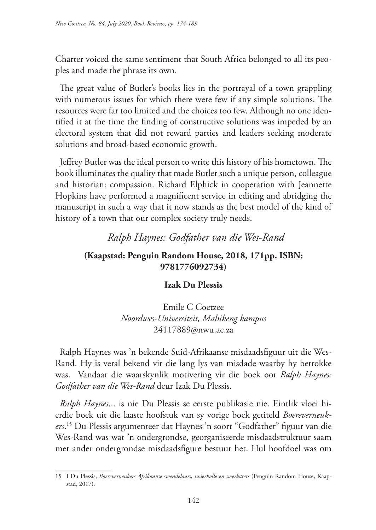Charter voiced the same sentiment that South Africa belonged to all its peoples and made the phrase its own.

The great value of Butler's books lies in the portrayal of a town grappling with numerous issues for which there were few if any simple solutions. The resources were far too limited and the choices too few. Although no one identified it at the time the finding of constructive solutions was impeded by an electoral system that did not reward parties and leaders seeking moderate solutions and broad-based economic growth.

Jeffrey Butler was the ideal person to write this history of his hometown. The book illuminates the quality that made Butler such a unique person, colleague and historian: compassion. Richard Elphick in cooperation with Jeannette Hopkins have performed a magnificent service in editing and abridging the manuscript in such a way that it now stands as the best model of the kind of history of a town that our complex society truly needs.

# *Ralph Haynes: Godfather van die Wes-Rand*

## **(Kaapstad: Penguin Random House, 2018, 171pp. ISBN: 9781776092734)**

### **Izak Du Plessis**

Emile C Coetzee *Noordwes-Universiteit, Mahikeng kampus* 24117889@nwu.ac.za

Ralph Haynes was 'n bekende Suid-Afrikaanse misdaadsfiguur uit die Wes-Rand. Hy is veral bekend vir die lang lys van misdade waarby hy betrokke was. Vandaar die waarskynlik motivering vir die boek oor *Ralph Haynes: Godfather van die Wes-Rand* deur Izak Du Plessis.

*Ralph Haynes*... is nie Du Plessis se eerste publikasie nie. Eintlik vloei hierdie boek uit die laaste hoofstuk van sy vorige boek getiteld *Boereverneukers*. 15 Du Plessis argumenteer dat Haynes 'n soort "Godfather" figuur van die Wes-Rand was wat 'n ondergrondse, georganiseerde misdaadstruktuur saam met ander ondergrondse misdaadsfigure bestuur het. Hul hoofdoel was om

<sup>15</sup> I Du Plessis, *Boereverneukers Afrikaanse swendelaars, swierbolle en swerkaters* (Penguin Random House, Kaapstad, 2017).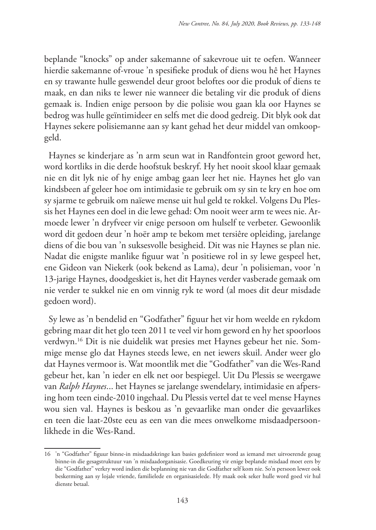beplande "knocks" op ander sakemanne of sakevroue uit te oefen. Wanneer hierdie sakemanne of-vroue 'n spesifieke produk of diens wou hê het Haynes en sy trawante hulle geswendel deur groot beloftes oor die produk of diens te maak, en dan niks te lewer nie wanneer die betaling vir die produk of diens gemaak is. Indien enige persoon by die polisie wou gaan kla oor Haynes se bedrog was hulle geïntimideer en selfs met die dood gedreig. Dit blyk ook dat Haynes sekere polisiemanne aan sy kant gehad het deur middel van omkoopgeld.

Haynes se kinderjare as 'n arm seun wat in Randfontein groot geword het, word kortliks in die derde hoofstuk beskryf. Hy het nooit skool klaar gemaak nie en dit lyk nie of hy enige ambag gaan leer het nie. Haynes het glo van kindsbeen af geleer hoe om intimidasie te gebruik om sy sin te kry en hoe om sy sjarme te gebruik om naïewe mense uit hul geld te rokkel. Volgens Du Plessis het Haynes een doel in die lewe gehad: Om nooit weer arm te wees nie. Armoede lewer 'n dryfveer vir enige persoon om hulself te verbeter. Gewoonlik word dit gedoen deur 'n hoër amp te bekom met tersiêre opleiding, jarelange diens of die bou van 'n suksesvolle besigheid. Dit was nie Haynes se plan nie. Nadat die enigste manlike figuur wat 'n positiewe rol in sy lewe gespeel het, ene Gideon van Niekerk (ook bekend as Lama), deur 'n polisieman, voor 'n 13-jarige Haynes, doodgeskiet is, het dit Haynes verder vasberade gemaak om nie verder te sukkel nie en om vinnig ryk te word (al moes dit deur misdade gedoen word).

Sy lewe as 'n bendelid en "Godfather" figuur het vir hom weelde en rykdom gebring maar dit het glo teen 2011 te veel vir hom geword en hy het spoorloos verdwyn.16 Dit is nie duidelik wat presies met Haynes gebeur het nie. Sommige mense glo dat Haynes steeds lewe, en net iewers skuil. Ander weer glo dat Haynes vermoor is. Wat moontlik met die "Godfather" van die Wes-Rand gebeur het, kan 'n ieder en elk net oor bespiegel. Uit Du Plessis se weergawe van *Ralph Haynes*... het Haynes se jarelange swendelary, intimidasie en afpersing hom teen einde-2010 ingehaal. Du Plessis vertel dat te veel mense Haynes wou sien val. Haynes is beskou as 'n gevaarlike man onder die gevaarlikes en teen die laat-20ste eeu as een van die mees onwelkome misdaadpersoonlikhede in die Wes-Rand.

<sup>16</sup> 'n "Godfather" figuur binne-in misdaadskringe kan basies gedefinieer word as iemand met uitvoerende gesag binne-in die gesagstruktuur van 'n misdaadorganisasie. Goedkeuring vir enige beplande misdaad moet eers by die "Godfather" verkry word indien die beplanning nie van die Godfather self kom nie. So'n persoon lewer ook beskerming aan sy lojale vriende, familielede en organisasielede. Hy maak ook seker hulle word goed vir hul dienste betaal.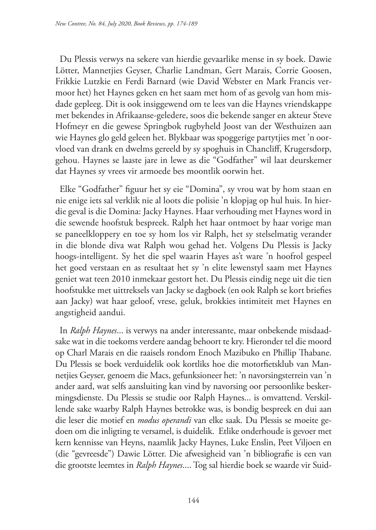Du Plessis verwys na sekere van hierdie gevaarlike mense in sy boek. Dawie Lötter, Mannetjies Geyser, Charlie Landman, Gert Marais, Corrie Goosen, Frikkie Lutzkie en Ferdi Barnard (wie David Webster en Mark Francis vermoor het) het Haynes geken en het saam met hom of as gevolg van hom misdade gepleeg. Dit is ook insiggewend om te lees van die Haynes vriendskappe met bekendes in Afrikaanse-geledere, soos die bekende sanger en akteur Steve Hofmeyr en die gewese Springbok rugbyheld Joost van der Westhuizen aan wie Haynes glo geld geleen het. Blykbaar was spoggerige partytjies met 'n oorvloed van drank en dwelms gereeld by sy spoghuis in Chancliff, Krugersdorp, gehou. Haynes se laaste jare in lewe as die "Godfather" wil laat deurskemer dat Haynes sy vrees vir armoede bes moontlik oorwin het.

Elke "Godfather" figuur het sy eie "Domina", sy vrou wat by hom staan en nie enige iets sal verklik nie al loots die polisie 'n klopjag op hul huis. In hierdie geval is die Domina: Jacky Haynes. Haar verhouding met Haynes word in die sewende hoofstuk bespreek. Ralph het haar ontmoet by haar vorige man se paneelkloppery en toe sy hom los vir Ralph, het sy stelselmatig verander in die blonde diva wat Ralph wou gehad het. Volgens Du Plessis is Jacky hoogs-intelligent. Sy het die spel waarin Hayes as't ware 'n hoofrol gespeel het goed verstaan en as resultaat het sy 'n elite lewenstyl saam met Haynes geniet wat teen 2010 inmekaar gestort het. Du Plessis eindig nege uit die tien hoofstukke met uittreksels van Jacky se dagboek (en ook Ralph se kort briefies aan Jacky) wat haar geloof, vrese, geluk, brokkies intimiteit met Haynes en angstigheid aandui.

In *Ralph Haynes*... is verwys na ander interessante, maar onbekende misdaadsake wat in die toekoms verdere aandag behoort te kry. Hieronder tel die moord op Charl Marais en die raaisels rondom Enoch Mazibuko en Phillip Thabane. Du Plessis se boek verduidelik ook kortliks hoe die motorfietsklub van Mannetjies Geyser, genoem die Macs, gefunksioneer het: 'n navorsingsterrein van 'n ander aard, wat selfs aansluiting kan vind by navorsing oor persoonlike beskermingsdienste. Du Plessis se studie oor Ralph Haynes... is omvattend. Verskillende sake waarby Ralph Haynes betrokke was, is bondig bespreek en dui aan die leser die motief en *modus operandi* van elke saak. Du Plessis se moeite gedoen om die inligting te versamel, is duidelik. Etlike onderhoude is gevoer met kern kennisse van Heyns, naamlik Jacky Haynes, Luke Enslin, Peet Viljoen en (die "gevreesde") Dawie Lötter. Die afwesigheid van 'n bibliografie is een van die grootste leemtes in *Ralph Haynes*.... Tog sal hierdie boek se waarde vir Suid-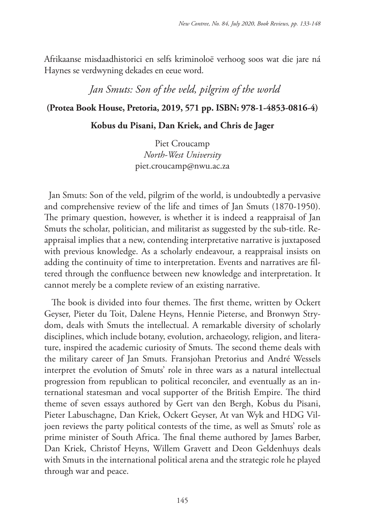Afrikaanse misdaadhistorici en selfs kriminoloë verhoog soos wat die jare ná Haynes se verdwyning dekades en eeue word.

*Jan Smuts: Son of the veld, pilgrim of the world*

### **(Protea Book House, Pretoria, 2019, 571 pp. ISBN: 978-1-4853-0816-4)**

#### **Kobus du Pisani, Dan Kriek, and Chris de Jager**

Piet Croucamp *North-West University* piet.croucamp@nwu.ac.za

Jan Smuts: Son of the veld, pilgrim of the world, is undoubtedly a pervasive and comprehensive review of the life and times of Jan Smuts (1870-1950). The primary question, however, is whether it is indeed a reappraisal of Jan Smuts the scholar, politician, and militarist as suggested by the sub-title. Reappraisal implies that a new, contending interpretative narrative is juxtaposed with previous knowledge. As a scholarly endeavour, a reappraisal insists on adding the continuity of time to interpretation. Events and narratives are filtered through the confluence between new knowledge and interpretation. It cannot merely be a complete review of an existing narrative.

 The book is divided into four themes. The first theme, written by Ockert Geyser, Pieter du Toit, Dalene Heyns, Hennie Pieterse, and Bronwyn Strydom, deals with Smuts the intellectual. A remarkable diversity of scholarly disciplines, which include botany, evolution, archaeology, religion, and literature, inspired the academic curiosity of Smuts. The second theme deals with the military career of Jan Smuts. Fransjohan Pretorius and André Wessels interpret the evolution of Smuts' role in three wars as a natural intellectual progression from republican to political reconciler, and eventually as an international statesman and vocal supporter of the British Empire. The third theme of seven essays authored by Gert van den Bergh, Kobus du Pisani, Pieter Labuschagne, Dan Kriek, Ockert Geyser, At van Wyk and HDG Viljoen reviews the party political contests of the time, as well as Smuts' role as prime minister of South Africa. The final theme authored by James Barber, Dan Kriek, Christof Heyns, Willem Gravett and Deon Geldenhuys deals with Smuts in the international political arena and the strategic role he played through war and peace.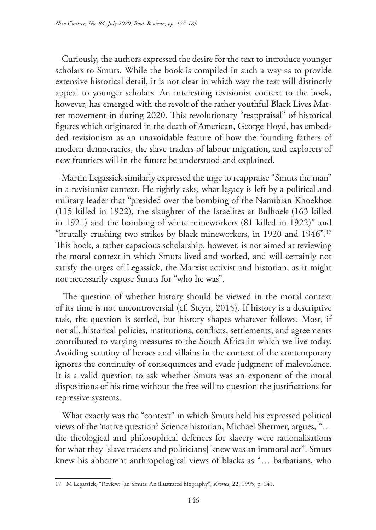Curiously, the authors expressed the desire for the text to introduce younger scholars to Smuts. While the book is compiled in such a way as to provide extensive historical detail, it is not clear in which way the text will distinctly appeal to younger scholars. An interesting revisionist context to the book, however, has emerged with the revolt of the rather youthful Black Lives Matter movement in during 2020. This revolutionary "reappraisal" of historical figures which originated in the death of American, George Floyd, has embedded revisionism as an unavoidable feature of how the founding fathers of modern democracies, the slave traders of labour migration, and explorers of new frontiers will in the future be understood and explained.

 Martin Legassick similarly expressed the urge to reappraise "Smuts the man" in a revisionist context. He rightly asks, what legacy is left by a political and military leader that "presided over the bombing of the Namibian Khoekhoe (115 killed in 1922), the slaughter of the Israelites at Bulhoek (163 killed in 1921) and the bombing of white mineworkers (81 killed in 1922)" and "brutally crushing two strikes by black mineworkers, in 1920 and 1946".17 This book, a rather capacious scholarship, however, is not aimed at reviewing the moral context in which Smuts lived and worked, and will certainly not satisfy the urges of Legassick, the Marxist activist and historian, as it might not necessarily expose Smuts for "who he was".

 The question of whether history should be viewed in the moral context of its time is not uncontroversial (cf. Steyn, 2015). If history is a descriptive task, the question is settled, but history shapes whatever follows. Most, if not all, historical policies, institutions, conflicts, settlements, and agreements contributed to varying measures to the South Africa in which we live today. Avoiding scrutiny of heroes and villains in the context of the contemporary ignores the continuity of consequences and evade judgment of malevolence. It is a valid question to ask whether Smuts was an exponent of the moral dispositions of his time without the free will to question the justifications for repressive systems.

What exactly was the "context" in which Smuts held his expressed political views of the 'native question? Science historian, Michael Shermer, argues, "… the theological and philosophical defences for slavery were rationalisations for what they [slave traders and politicians] knew was an immoral act". Smuts knew his abhorrent anthropological views of blacks as "… barbarians, who

<sup>17</sup> M Legassick, "Review: Jan Smuts: An illustrated biography", *Kronos*, 22, 1995, p. 141.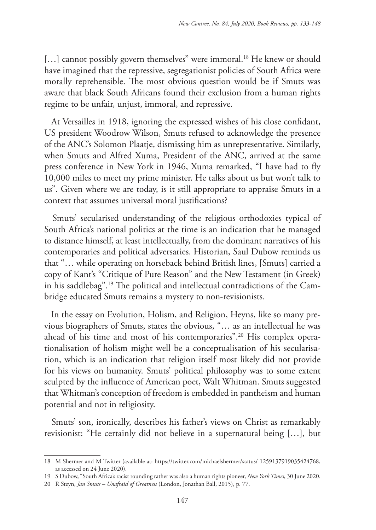[...] cannot possibly govern themselves" were immoral.<sup>18</sup> He knew or should have imagined that the repressive, segregationist policies of South Africa were morally reprehensible. The most obvious question would be if Smuts was aware that black South Africans found their exclusion from a human rights regime to be unfair, unjust, immoral, and repressive.

 At Versailles in 1918, ignoring the expressed wishes of his close confidant, US president Woodrow Wilson, Smuts refused to acknowledge the presence of the ANC's Solomon Plaatje, dismissing him as unrepresentative. Similarly, when Smuts and Alfred Xuma, President of the ANC, arrived at the same press conference in New York in 1946, Xuma remarked, "I have had to fly 10,000 miles to meet my prime minister. He talks about us but won't talk to us". Given where we are today, is it still appropriate to appraise Smuts in a context that assumes universal moral justifications?

 Smuts' secularised understanding of the religious orthodoxies typical of South Africa's national politics at the time is an indication that he managed to distance himself, at least intellectually, from the dominant narratives of his contemporaries and political adversaries. Historian, Saul Dubow reminds us that "… while operating on horseback behind British lines, [Smuts] carried a copy of Kant's "Critique of Pure Reason" and the New Testament (in Greek) in his saddlebag".19 The political and intellectual contradictions of the Cambridge educated Smuts remains a mystery to non-revisionists.

 In the essay on Evolution, Holism, and Religion, Heyns, like so many previous biographers of Smuts, states the obvious, "… as an intellectual he was ahead of his time and most of his contemporaries".<sup>20</sup> His complex operationalisation of holism might well be a conceptualisation of his secularisation, which is an indication that religion itself most likely did not provide for his views on humanity. Smuts' political philosophy was to some extent sculpted by the influence of American poet, Walt Whitman. Smuts suggested that Whitman's conception of freedom is embedded in pantheism and human potential and not in religiosity.

 Smuts' son, ironically, describes his father's views on Christ as remarkably revisionist: "He certainly did not believe in a supernatural being […], but

<sup>18</sup> M Shermer and M Twitter (available at: https://twitter.com/michaelshermer/status/ 1259137919035424768, as accessed on 24 June 2020).

<sup>19</sup> S Dubow, "South Africa's racist rounding rather was also a human rights pioneer, *New York Times*, 30 June 2020.

<sup>20</sup> R Steyn, *Jan Smuts – Unafraid of Greatness* (London, Jonathan Ball, 2015), p. 77.